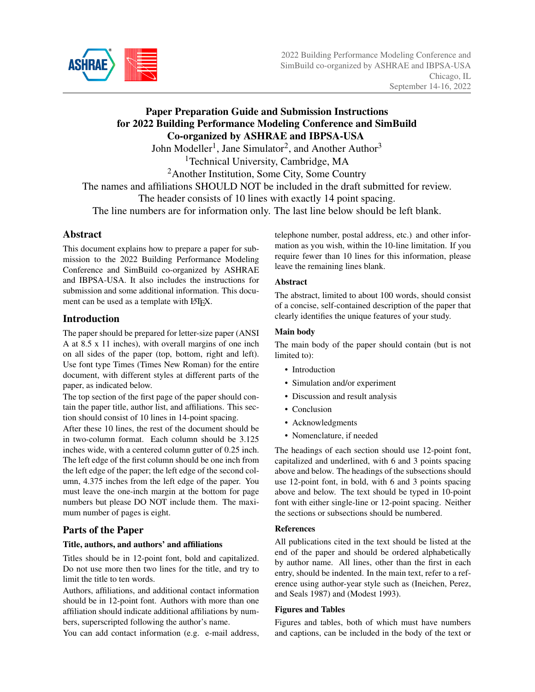

# Paper Preparation Guide and Submission Instructions for 2022 Building Performance Modeling Conference and SimBuild Co-organized by ASHRAE and IBPSA-USA

John Modeller<sup>1</sup>, Jane Simulator<sup>2</sup>, and Another Author<sup>3</sup>

<sup>1</sup>Technical University, Cambridge, MA

<sup>2</sup>Another Institution, Some City, Some Country

The names and affiliations SHOULD NOT be included in the draft submitted for review.

The header consists of 10 lines with exactly 14 point spacing.

The line numbers are for information only. The last line below should be left blank.

## Abstract

This document explains how to prepare a paper for submission to the 2022 Building Performance Modeling Conference and SimBuild co-organized by ASHRAE and IBPSA-USA. It also includes the instructions for submission and some additional information. This document can be used as a template with LATEX.

## Introduction

The paper should be prepared for letter-size paper (ANSI A at 8.5 x 11 inches), with overall margins of one inch on all sides of the paper (top, bottom, right and left). Use font type Times (Times New Roman) for the entire document, with different styles at different parts of the paper, as indicated below.

The top section of the first page of the paper should contain the paper title, author list, and affiliations. This section should consist of 10 lines in 14-point spacing.

After these 10 lines, the rest of the document should be in two-column format. Each column should be 3.125 inches wide, with a centered column gutter of 0.25 inch. The left edge of the first column should be one inch from the left edge of the paper; the left edge of the second column, 4.375 inches from the left edge of the paper. You must leave the one-inch margin at the bottom for page numbers but please DO NOT include them. The maximum number of pages is eight.

# Parts of the Paper

#### Title, authors, and authors' and affiliations

Titles should be in 12-point font, bold and capitalized. Do not use more then two lines for the title, and try to limit the title to ten words.

Authors, affiliations, and additional contact information should be in 12-point font. Authors with more than one affiliation should indicate additional affiliations by numbers, superscripted following the author's name.

You can add contact information (e.g. e-mail address,

telephone number, postal address, etc.) and other information as you wish, within the 10-line limitation. If you require fewer than 10 lines for this information, please leave the remaining lines blank.

#### Abstract

The abstract, limited to about 100 words, should consist of a concise, self-contained description of the paper that clearly identifies the unique features of your study.

#### Main body

The main body of the paper should contain (but is not limited to):

- Introduction
- Simulation and/or experiment
- Discussion and result analysis
- Conclusion
- Acknowledgments
- Nomenclature, if needed

The headings of each section should use 12-point font, capitalized and underlined, with 6 and 3 points spacing above and below. The headings of the subsections should use 12-point font, in bold, with 6 and 3 points spacing above and below. The text should be typed in 10-point font with either single-line or 12-point spacing. Neither the sections or subsections should be numbered.

#### References

All publications cited in the text should be listed at the end of the paper and should be ordered alphabetically by author name. All lines, other than the first in each entry, should be indented. In the main text, refer to a reference using author-year style such as (Ineichen, Perez, and Seals 1987) and (Modest 1993).

#### Figures and Tables

Figures and tables, both of which must have numbers and captions, can be included in the body of the text or